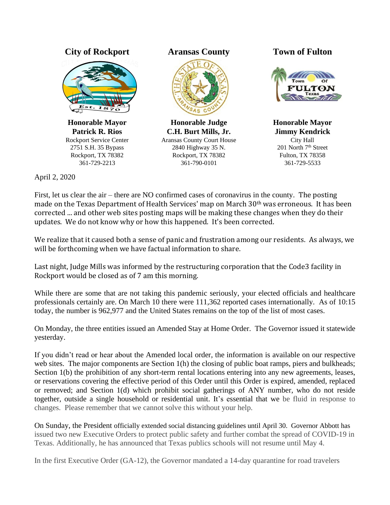## **City of Rockport Aransas County Town of Fulton**



**Honorable Mayor Patrick R. Rios** Rockport Service Center 2751 S.H. 35 Bypass Rockport, TX 78382 361-729-2213



**Honorable Judge C.H. Burt Mills, Jr.** Aransas County Court House 2840 Highway 35 N. Rockport, TX 78382 361-790-0101



**Honorable Mayor Jimmy Kendrick** City Hall 201 North 7<sup>th</sup> Street Fulton, TX 78358 361-729-5533

April 2, 2020

First, let us clear the air – there are NO confirmed cases of coronavirus in the county. The posting made on the Texas Department of Health Services' map on March 30th was erroneous. It has been corrected ... and other web sites posting maps will be making these changes when they do their updates. We do not know why or how this happened. It's been corrected.

We realize that it caused both a sense of panic and frustration among our residents. As always, we will be forthcoming when we have factual information to share.

Last night, Judge Mills was informed by the restructuring corporation that the Code3 facility in Rockport would be closed as of 7 am this morning.

While there are some that are not taking this pandemic seriously, your elected officials and healthcare professionals certainly are. On March 10 there were 111,362 reported cases internationally. As of 10:15 today, the number is 962,977 and the United States remains on the top of the list of most cases.

On Monday, the three entities issued an Amended Stay at Home Order. The Governor issued it statewide yesterday.

If you didn't read or hear about the Amended local order, the information is available on our respective web sites. The major components are Section 1(h) the closing of public boat ramps, piers and bulkheads; Section 1(b) the prohibition of any short-term rental locations entering into any new agreements, leases, or reservations covering the effective period of this Order until this Order is expired, amended, replaced or removed; and Section 1(d) which prohibit social gatherings of ANY number, who do not reside together, outside a single household or residential unit. It's essential that we be fluid in response to changes. Please remember that we cannot solve this without your help.

On Sunday, the President officially extended social distancing guidelines until April 30. Governor Abbott has issued two new Executive Orders to protect public safety and further combat the spread of COVID-19 in Texas. Additionally, he has announced that Texas publics schools will not resume until May 4.

In the first Executive Order (GA-12), the Governor mandated a 14-day quarantine for road travelers